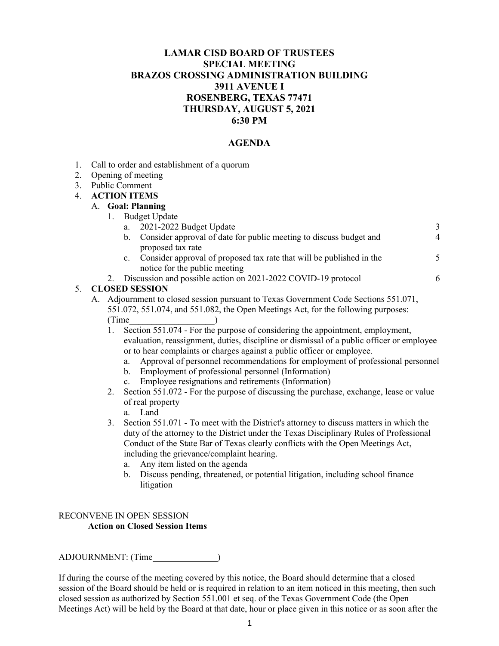### **LAMAR CISD BOARD OF TRUSTEES SPECIAL MEETING BRAZOS CROSSING ADMINISTRATION BUILDING 3911 AVENUE I ROSENBERG, TEXAS 77471 THURSDAY, AUGUST 5, 2021 6:30 PM**

### **AGENDA**

- 1. Call to order and establishment of a quorum
- 2. Opening of meeting
- 3. Public Comment

#### 4. **ACTION ITEMS**

#### A. **Goal: Planning**

- 1. Budget Update
	- a. 2021-2022 Budget Update
	- b. Consider approval of date for public meeting to discuss budget and proposed tax rate 4 5

3

6

- c. Consider approval of proposed tax rate that will be published in the notice for the public meeting
- 2. Discussion and possible action on 2021-2022 COVID-19 protocol

#### 5. **CLOSED SESSION**

- A. Adjournment to closed session pursuant to Texas Government Code Sections 551.071, 551.072, 551.074, and 551.082, the Open Meetings Act, for the following purposes:  $(Time$   $)$ 
	- 1. Section 551.074 For the purpose of considering the appointment, employment, evaluation, reassignment, duties, discipline or dismissal of a public officer or employee or to hear complaints or charges against a public officer or employee.
		- a. Approval of personnel recommendations for employment of professional personnel
		- b. Employment of professional personnel (Information)
		- c. Employee resignations and retirements (Information)
	- 2. Section 551.072 For the purpose of discussing the purchase, exchange, lease or value of real property
		- a. Land
	- 3. Section 551.071 To meet with the District's attorney to discuss matters in which the duty of the attorney to the District under the Texas Disciplinary Rules of Professional Conduct of the State Bar of Texas clearly conflicts with the Open Meetings Act, including the grievance/complaint hearing.
		- a. Any item listed on the agenda
		- b. Discuss pending, threatened, or potential litigation, including school finance litigation

#### RECONVENE IN OPEN SESSION **Action on Closed Session Items**

ADJOURNMENT: (Time )

If during the course of the meeting covered by this notice, the Board should determine that a closed session of the Board should be held or is required in relation to an item noticed in this meeting, then such closed session as authorized by Section 551.001 et seq. of the Texas Government Code (the Open Meetings Act) will be held by the Board at that date, hour or place given in this notice or as soon after the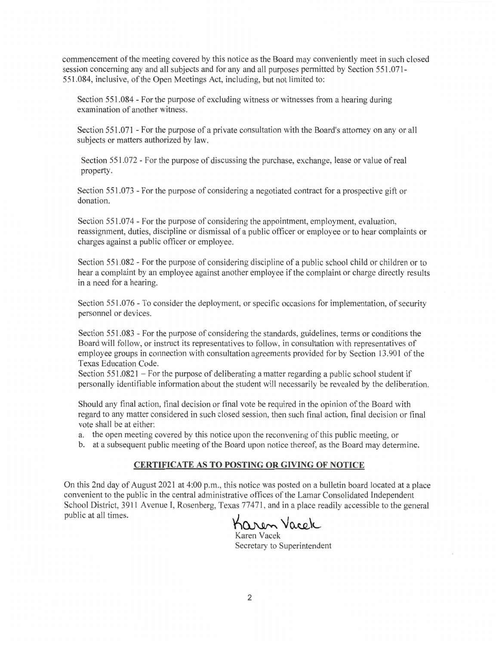commencement of the meeting covered by this notice as the Board may conveniently meet in such closed session concerning any and all subjects and for any and all purposes permitted by Section 551.071-551.084, inclusive, of the Open Meetings Act, including, but not limited to:

Section 551.084 - For the purpose of excluding witness or witnesses from a hearing during examination of another witness.

Section 551.071 - For the purpose of a private consultation with the Board's attorney on any or all subjects or matters authorized by law.

Section 551.072 - For the purpose of discussing the purchase, exchange, lease or value of real property.

Section 551.073 - For the purpose of considering a negotiated contract for a prospective gift or donation.

Section 551.074 - For the purpose of considering the appointment, employment, evaluation, reassignment, duties, discipline or dismissal of a public officer or employee or to hear complaints or charges against a public officer or employee.

Section 551.082 - For the purpose of considering discipline of a public school child or children or to hear a complaint by an employee against another employee if the complaint or charge directly results in a need for a hearing.

Section 551.076 - To consider the deployment, or specific occasions for implementation, of security personnel or devices.

Section 551.083 - For the purpose of considering the standards, guidelines, terms or conditions the Board will follow, or instruct its representatives to follow, in consultation with representatives of employee groups in connection with consultation agreements provided for by Section 13.901 of the Texas Education Code.

Section 551.0821 – For the purpose of deliberating a matter regarding a public school student if personally identifiable information about the student will necessarily be revealed by the deliberation.

Should any final action, final decision or final vote be required in the opinion of the Board with regard to any matter considered in such closed session, then such final action, final decision or final vote shall be at either:

a. the open meeting covered by this notice upon the reconvening of this public meeting, or

b. at a subsequent public meeting of the Board upon notice thereof, as the Board may determine.

#### **CERTIFICATE AS TO POSTING OR GIVING OF NOTICE**

On this 2nd day of August 2021 at 4:00 p.m., this notice was posted on a bulletin board located at a place convenient to the public in the central administrative offices of the Lamar Consolidated Independent School District, 3911 Avenue I, Rosenberg, Texas 77471, and in a place readily accessible to the general public at all times.

Karen Vacek

Karen Vacek Secretary to Superintendent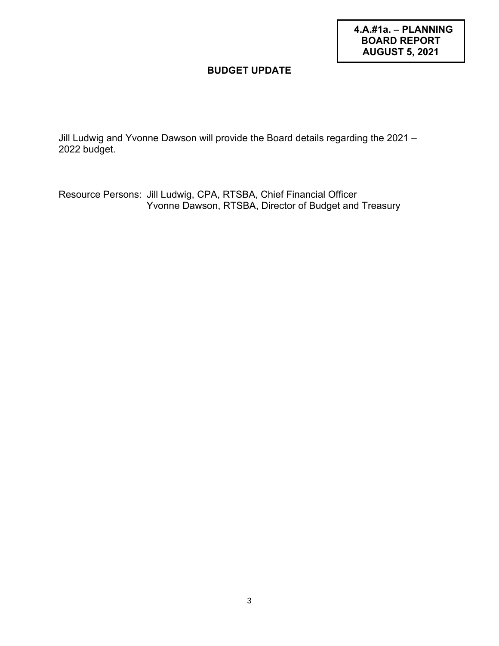**4.A.#1a. – PLANNING BOARD REPORT AUGUST 5, 2021**

## **BUDGET UPDATE**

Jill Ludwig and Yvonne Dawson will provide the Board details regarding the 2021 – 2022 budget.

Resource Persons: Jill Ludwig, CPA, RTSBA, Chief Financial Officer Yvonne Dawson, RTSBA, Director of Budget and Treasury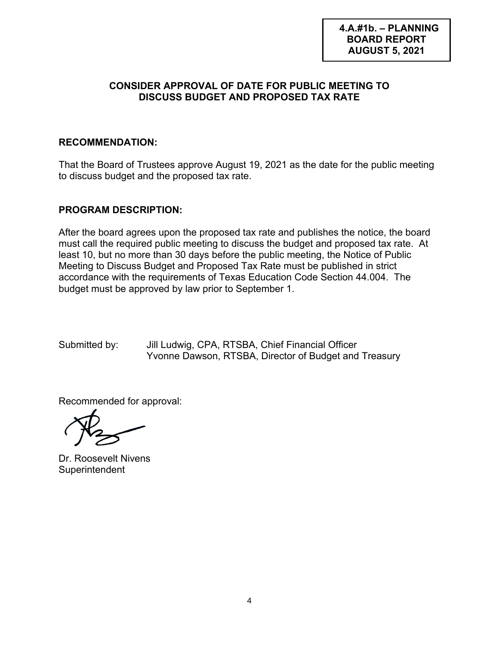## **4.A.#1b. – PLANNING BOARD REPORT AUGUST 5, 2021**

## **CONSIDER APPROVAL OF DATE FOR PUBLIC MEETING TO DISCUSS BUDGET AND PROPOSED TAX RATE**

## **RECOMMENDATION:**

That the Board of Trustees approve August 19, 2021 as the date for the public meeting to discuss budget and the proposed tax rate.

## **PROGRAM DESCRIPTION:**

After the board agrees upon the proposed tax rate and publishes the notice, the board must call the required public meeting to discuss the budget and proposed tax rate. At least 10, but no more than 30 days before the public meeting, the Notice of Public Meeting to Discuss Budget and Proposed Tax Rate must be published in strict accordance with the requirements of Texas Education Code Section 44.004. The budget must be approved by law prior to September 1.

Submitted by: Jill Ludwig, CPA, RTSBA, Chief Financial Officer Yvonne Dawson, RTSBA, Director of Budget and Treasury

Recommended for approval:

Dr. Roosevelt Nivens **Superintendent**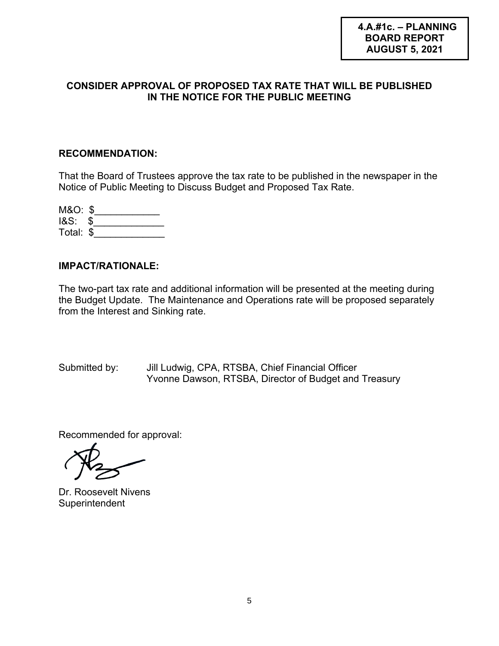## **CONSIDER APPROVAL OF PROPOSED TAX RATE THAT WILL BE PUBLISHED IN THE NOTICE FOR THE PUBLIC MEETING**

## **RECOMMENDATION:**

That the Board of Trustees approve the tax rate to be published in the newspaper in the Notice of Public Meeting to Discuss Budget and Proposed Tax Rate.

| M&O: \$   |  |
|-----------|--|
| $18S:$ \$ |  |
| Total: \$ |  |

## **IMPACT/RATIONALE:**

The two-part tax rate and additional information will be presented at the meeting during the Budget Update. The Maintenance and Operations rate will be proposed separately from the Interest and Sinking rate.

Submitted by: Jill Ludwig, CPA, RTSBA, Chief Financial Officer Yvonne Dawson, RTSBA, Director of Budget and Treasury

Recommended for approval:

Dr. Roosevelt Nivens **Superintendent**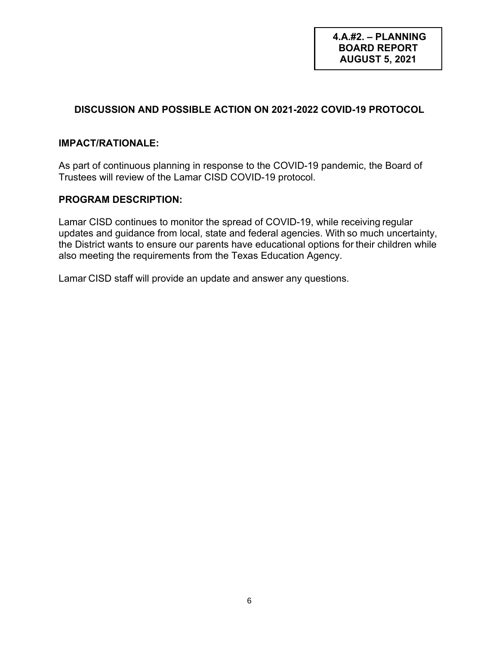## **DISCUSSION AND POSSIBLE ACTION ON 2021-2022 COVID-19 PROTOCOL**

### **IMPACT/RATIONALE:**

As part of continuous planning in response to the COVID-19 pandemic, the Board of Trustees will review of the Lamar CISD COVID-19 protocol.

## **PROGRAM DESCRIPTION:**

Lamar CISD continues to monitor the spread of COVID-19, while receiving regular updates and guidance from local, state and federal agencies. With so much uncertainty, the District wants to ensure our parents have educational options for their children while also meeting the requirements from the Texas Education Agency.

Lamar CISD staff will provide an update and answer any questions.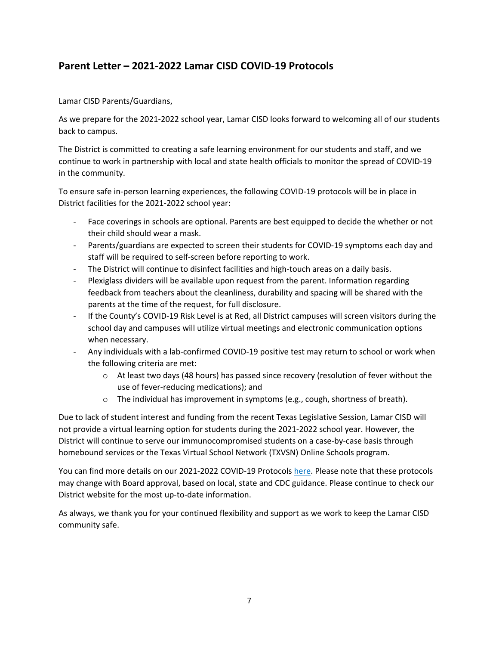# **Parent Letter – 2021-2022 Lamar CISD COVID-19 Protocols**

#### Lamar CISD Parents/Guardians,

As we prepare for the 2021-2022 school year, Lamar CISD looks forward to welcoming all of our students back to campus.

The District is committed to creating a safe learning environment for our students and staff, and we continue to work in partnership with local and state health officials to monitor the spread of COVID-19 in the community.

To ensure safe in-person learning experiences, the following COVID-19 protocols will be in place in District facilities for the 2021-2022 school year:

- Face coverings in schools are optional. Parents are best equipped to decide the whether or not their child should wear a mask.
- Parents/guardians are expected to screen their students for COVID-19 symptoms each day and staff will be required to self-screen before reporting to work.
- The District will continue to disinfect facilities and high-touch areas on a daily basis.
- Plexiglass dividers will be available upon request from the parent. Information regarding feedback from teachers about the cleanliness, durability and spacing will be shared with the parents at the time of the request, for full disclosure.
- If the County's COVID-19 Risk Level is at Red, all District campuses will screen visitors during the school day and campuses will utilize virtual meetings and electronic communication options when necessary.
- Any individuals with a lab-confirmed COVID-19 positive test may return to school or work when the following criteria are met:
	- $\circ$  At least two days (48 hours) has passed since recovery (resolution of fever without the use of fever-reducing medications); and
	- o The individual has improvement in symptoms (e.g., cough, shortness of breath).

Due to lack of student interest and funding from the recent Texas Legislative Session, Lamar CISD will not provide a virtual learning option for students during the 2021-2022 school year. However, the District will continue to serve our immunocompromised students on a case-by-case basis through homebound services or the Texas Virtual School Network (TXVSN) Online Schools program.

You can find more details on our 2021-2022 COVID-19 Protocols here. Please note that these protocols may change with Board approval, based on local, state and CDC guidance. Please continue to check our District website for the most up-to-date information.

As always, we thank you for your continued flexibility and support as we work to keep the Lamar CISD community safe.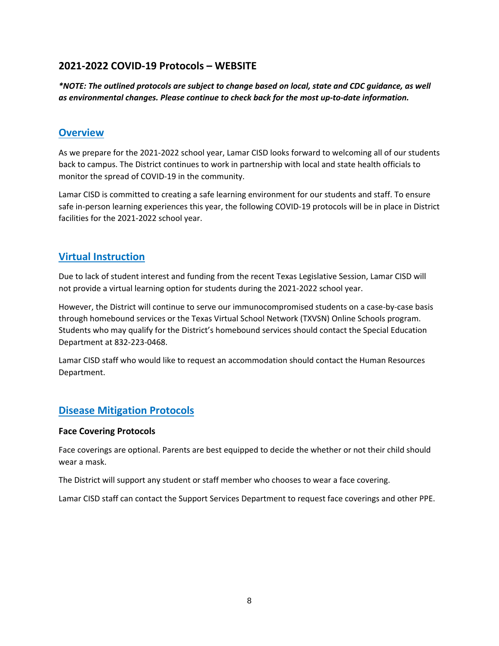# **2021-2022 COVID-19 Protocols – WEBSITE**

*\*NOTE: The outlined protocols are subject to change based on local, state and CDC guidance, as well as environmental changes. Please continue to check back for the most up-to-date information.*

## **Overview**

As we prepare for the 2021-2022 school year, Lamar CISD looks forward to welcoming all of our students back to campus. The District continues to work in partnership with local and state health officials to monitor the spread of COVID-19 in the community.

Lamar CISD is committed to creating a safe learning environment for our students and staff. To ensure safe in-person learning experiences this year, the following COVID-19 protocols will be in place in District facilities for the 2021-2022 school year.

# **Virtual Instruction**

Due to lack of student interest and funding from the recent Texas Legislative Session, Lamar CISD will not provide a virtual learning option for students during the 2021-2022 school year.

However, the District will continue to serve our immunocompromised students on a case-by-case basis through homebound services or the Texas Virtual School Network (TXVSN) Online Schools program. Students who may qualify for the District's homebound services should contact the Special Education Department at 832-223-0468.

Lamar CISD staff who would like to request an accommodation should contact the Human Resources Department.

# **Disease Mitigation Protocols**

### **Face Covering Protocols**

Face coverings are optional. Parents are best equipped to decide the whether or not their child should wear a mask.

The District will support any student or staff member who chooses to wear a face covering.

Lamar CISD staff can contact the Support Services Department to request face coverings and other PPE.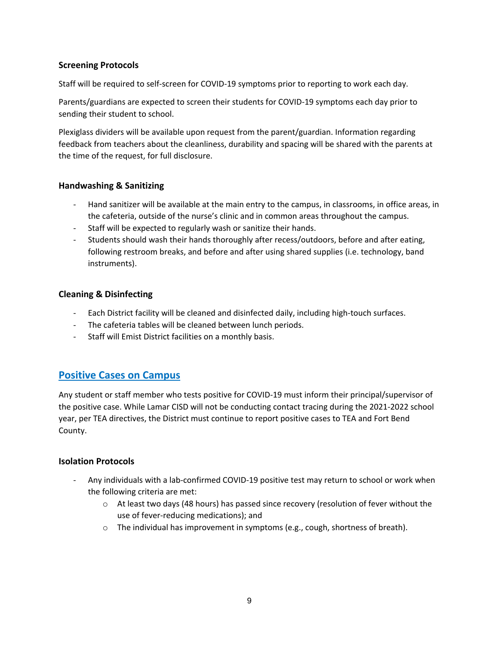### **Screening Protocols**

Staff will be required to self-screen for COVID-19 symptoms prior to reporting to work each day.

Parents/guardians are expected to screen their students for COVID-19 symptoms each day prior to sending their student to school.

Plexiglass dividers will be available upon request from the parent/guardian. Information regarding feedback from teachers about the cleanliness, durability and spacing will be shared with the parents at the time of the request, for full disclosure.

### **Handwashing & Sanitizing**

- Hand sanitizer will be available at the main entry to the campus, in classrooms, in office areas, in the cafeteria, outside of the nurse's clinic and in common areas throughout the campus.
- Staff will be expected to regularly wash or sanitize their hands.
- Students should wash their hands thoroughly after recess/outdoors, before and after eating, following restroom breaks, and before and after using shared supplies (i.e. technology, band instruments).

## **Cleaning & Disinfecting**

- Each District facility will be cleaned and disinfected daily, including high-touch surfaces.
- The cafeteria tables will be cleaned between lunch periods.
- Staff will Emist District facilities on a monthly basis.

# **Positive Cases on Campus**

Any student or staff member who tests positive for COVID-19 must inform their principal/supervisor of the positive case. While Lamar CISD will not be conducting contact tracing during the 2021-2022 school year, per TEA directives, the District must continue to report positive cases to TEA and Fort Bend County.

### **Isolation Protocols**

- Any individuals with a lab-confirmed COVID-19 positive test may return to school or work when the following criteria are met:
	- $\circ$  At least two days (48 hours) has passed since recovery (resolution of fever without the use of fever-reducing medications); and
	- $\circ$  The individual has improvement in symptoms (e.g., cough, shortness of breath).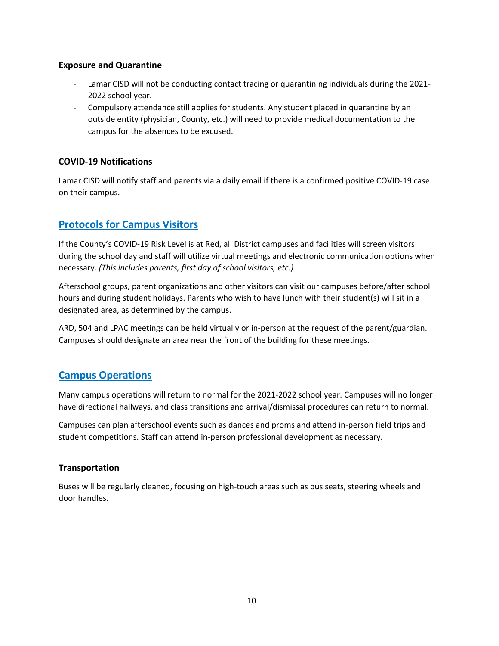#### **Exposure and Quarantine**

- Lamar CISD will not be conducting contact tracing or quarantining individuals during the 2021- 2022 school year.
- Compulsory attendance still applies for students. Any student placed in quarantine by an outside entity (physician, County, etc.) will need to provide medical documentation to the campus for the absences to be excused.

### **COVID-19 Notifications**

Lamar CISD will notify staff and parents via a daily email if there is a confirmed positive COVID-19 case on their campus.

# **Protocols for Campus Visitors**

If the County's COVID-19 Risk Level is at Red, all District campuses and facilities will screen visitors during the school day and staff will utilize virtual meetings and electronic communication options when necessary. *(This includes parents, first day of school visitors, etc.)*

Afterschool groups, parent organizations and other visitors can visit our campuses before/after school hours and during student holidays. Parents who wish to have lunch with their student(s) will sit in a designated area, as determined by the campus.

ARD, 504 and LPAC meetings can be held virtually or in-person at the request of the parent/guardian. Campuses should designate an area near the front of the building for these meetings.

# **Campus Operations**

Many campus operations will return to normal for the 2021-2022 school year. Campuses will no longer have directional hallways, and class transitions and arrival/dismissal procedures can return to normal.

Campuses can plan afterschool events such as dances and proms and attend in-person field trips and student competitions. Staff can attend in-person professional development as necessary.

### **Transportation**

Buses will be regularly cleaned, focusing on high-touch areas such as bus seats, steering wheels and door handles.